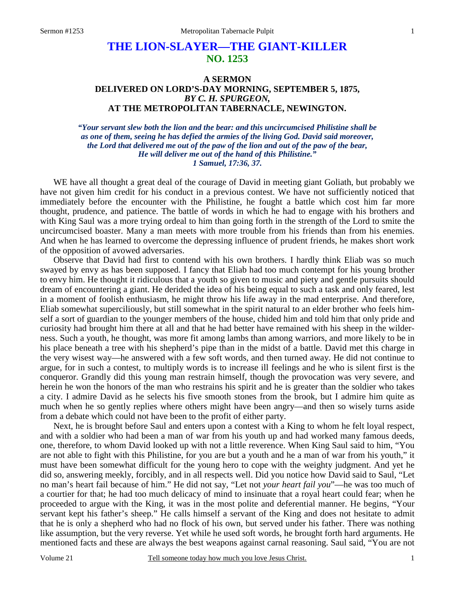# **THE LION-SLAYER—THE GIANT-KILLER NO. 1253**

# **A SERMON DELIVERED ON LORD'S-DAY MORNING, SEPTEMBER 5, 1875,** *BY C. H. SPURGEON,*  **AT THE METROPOLITAN TABERNACLE, NEWINGTON.**

*"Your servant slew both the lion and the bear: and this uncircumcised Philistine shall be as one of them, seeing he has defied the armies of the living God. David said moreover, the Lord that delivered me out of the paw of the lion and out of the paw of the bear, He will deliver me out of the hand of this Philistine." 1 Samuel, 17:36, 37.* 

WE have all thought a great deal of the courage of David in meeting giant Goliath, but probably we have not given him credit for his conduct in a previous contest. We have not sufficiently noticed that immediately before the encounter with the Philistine, he fought a battle which cost him far more thought, prudence, and patience. The battle of words in which he had to engage with his brothers and with King Saul was a more trying ordeal to him than going forth in the strength of the Lord to smite the uncircumcised boaster. Many a man meets with more trouble from his friends than from his enemies. And when he has learned to overcome the depressing influence of prudent friends, he makes short work of the opposition of avowed adversaries.

 Observe that David had first to contend with his own brothers. I hardly think Eliab was so much swayed by envy as has been supposed. I fancy that Eliab had too much contempt for his young brother to envy him. He thought it ridiculous that a youth so given to music and piety and gentle pursuits should dream of encountering a giant. He derided the idea of his being equal to such a task and only feared, lest in a moment of foolish enthusiasm, he might throw his life away in the mad enterprise. And therefore, Eliab somewhat superciliously, but still somewhat in the spirit natural to an elder brother who feels himself a sort of guardian to the younger members of the house, chided him and told him that only pride and curiosity had brought him there at all and that he had better have remained with his sheep in the wilderness. Such a youth, he thought, was more fit among lambs than among warriors, and more likely to be in his place beneath a tree with his shepherd's pipe than in the midst of a battle. David met this charge in the very wisest way—he answered with a few soft words, and then turned away. He did not continue to argue, for in such a contest, to multiply words is to increase ill feelings and he who is silent first is the conqueror. Grandly did this young man restrain himself, though the provocation was very severe, and herein he won the honors of the man who restrains his spirit and he is greater than the soldier who takes a city. I admire David as he selects his five smooth stones from the brook, but I admire him quite as much when he so gently replies where others might have been angry—and then so wisely turns aside from a debate which could not have been to the profit of either party.

 Next, he is brought before Saul and enters upon a contest with a King to whom he felt loyal respect, and with a soldier who had been a man of war from his youth up and had worked many famous deeds, one, therefore, to whom David looked up with not a little reverence. When King Saul said to him, "You are not able to fight with this Philistine, for you are but a youth and he a man of war from his youth," it must have been somewhat difficult for the young hero to cope with the weighty judgment. And yet he did so, answering meekly, forcibly, and in all respects well. Did you notice how David said to Saul, "Let no man's heart fail because of him." He did not say, "Let not *your heart fail you*"—he was too much of a courtier for that; he had too much delicacy of mind to insinuate that a royal heart could fear; when he proceeded to argue with the King, it was in the most polite and deferential manner. He begins, "Your servant kept his father's sheep." He calls himself a servant of the King and does not hesitate to admit that he is only a shepherd who had no flock of his own, but served under his father. There was nothing like assumption, but the very reverse. Yet while he used soft words, he brought forth hard arguments. He mentioned facts and these are always the best weapons against carnal reasoning. Saul said, "You are not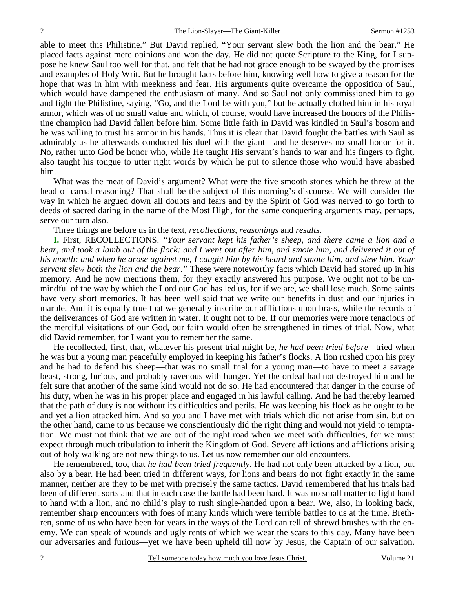able to meet this Philistine." But David replied, "Your servant slew both the lion and the bear." He placed facts against mere opinions and won the day. He did not quote Scripture to the King, for I suppose he knew Saul too well for that, and felt that he had not grace enough to be swayed by the promises and examples of Holy Writ. But he brought facts before him, knowing well how to give a reason for the hope that was in him with meekness and fear. His arguments quite overcame the opposition of Saul, which would have dampened the enthusiasm of many. And so Saul not only commissioned him to go and fight the Philistine, saying, "Go, and the Lord be with you," but he actually clothed him in his royal armor, which was of no small value and which, of course, would have increased the honors of the Philistine champion had David fallen before him. Some little faith in David was kindled in Saul's bosom and he was willing to trust his armor in his hands. Thus it is clear that David fought the battles with Saul as admirably as he afterwards conducted his duel with the giant—and he deserves no small honor for it. No, rather unto God be honor who, while He taught His servant's hands to war and his fingers to fight, also taught his tongue to utter right words by which he put to silence those who would have abashed him.

 What was the meat of David's argument? What were the five smooth stones which he threw at the head of carnal reasoning? That shall be the subject of this morning's discourse. We will consider the way in which he argued down all doubts and fears and by the Spirit of God was nerved to go forth to deeds of sacred daring in the name of the Most High, for the same conquering arguments may, perhaps, serve our turn also.

Three things are before us in the text, *recollections, reasonings* and *results*.

**I.** First, RECOLLECTIONS. *"Your servant kept his father's sheep, and there came a lion and a bear, and took a lamb out of the flock: and I went out after him, and smote him, and delivered it out of his mouth: and when he arose against me, I caught him by his beard and smote him, and slew him. Your servant slew both the lion and the bear*.*"* These were noteworthy facts which David had stored up in his memory. And he now mentions them, for they exactly answered his purpose. We ought not to be unmindful of the way by which the Lord our God has led us, for if we are, we shall lose much. Some saints have very short memories. It has been well said that we write our benefits in dust and our injuries in marble. And it is equally true that we generally inscribe our afflictions upon brass, while the records of the deliverances of God are written in water. It ought not to be. If our memories were more tenacious of the merciful visitations of our God, our faith would often be strengthened in times of trial. Now, what did David remember, for I want you to remember the same.

 He recollected, first, that, whatever his present trial might be, *he had been tried before—*tried when he was but a young man peacefully employed in keeping his father's flocks. A lion rushed upon his prey and he had to defend his sheep—that was no small trial for a young man—to have to meet a savage beast, strong, furious, and probably ravenous with hunger. Yet the ordeal had not destroyed him and he felt sure that another of the same kind would not do so. He had encountered that danger in the course of his duty, when he was in his proper place and engaged in his lawful calling. And he had thereby learned that the path of duty is not without its difficulties and perils. He was keeping his flock as he ought to be and yet a lion attacked him. And so you and I have met with trials which did not arise from sin, but on the other hand, came to us because we conscientiously did the right thing and would not yield to temptation. We must not think that we are out of the right road when we meet with difficulties, for we must expect through much tribulation to inherit the Kingdom of God. Severe afflictions and afflictions arising out of holy walking are not new things to us. Let us now remember our old encounters.

 He remembered, too, that *he had been tried frequently*. He had not only been attacked by a lion, but also by a bear. He had been tried in different ways, for lions and bears do not fight exactly in the same manner, neither are they to be met with precisely the same tactics. David remembered that his trials had been of different sorts and that in each case the battle had been hard. It was no small matter to fight hand to hand with a lion, and no child's play to rush single-handed upon a bear. We, also, in looking back, remember sharp encounters with foes of many kinds which were terrible battles to us at the time. Brethren, some of us who have been for years in the ways of the Lord can tell of shrewd brushes with the enemy. We can speak of wounds and ugly rents of which we wear the scars to this day. Many have been our adversaries and furious—yet we have been upheld till now by Jesus, the Captain of our salvation.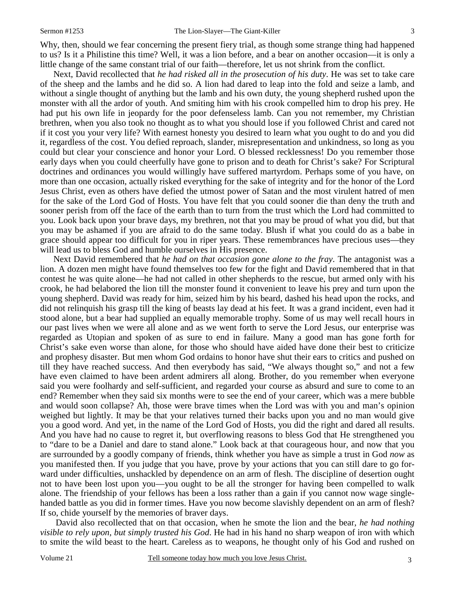Why, then, should we fear concerning the present fiery trial, as though some strange thing had happened to us? Is it a Philistine this time? Well, it was a lion before, and a bear on another occasion—it is only a little change of the same constant trial of our faith—therefore, let us not shrink from the conflict.

 Next, David recollected that *he had risked all in the prosecution of his duty*. He was set to take care of the sheep and the lambs and he did so. A lion had dared to leap into the fold and seize a lamb, and without a single thought of anything but the lamb and his own duty, the young shepherd rushed upon the monster with all the ardor of youth. And smiting him with his crook compelled him to drop his prey. He had put his own life in jeopardy for the poor defenseless lamb. Can you not remember, my Christian brethren, when you also took no thought as to what you should lose if you followed Christ and cared not if it cost you your very life? With earnest honesty you desired to learn what you ought to do and you did it, regardless of the cost. You defied reproach, slander, misrepresentation and unkindness, so long as you could but clear your conscience and honor your Lord. O blessed recklessness! Do you remember those early days when you could cheerfully have gone to prison and to death for Christ's sake? For Scriptural doctrines and ordinances you would willingly have suffered martyrdom. Perhaps some of you have, on more than one occasion, actually risked everything for the sake of integrity and for the honor of the Lord Jesus Christ, even as others have defied the utmost power of Satan and the most virulent hatred of men for the sake of the Lord God of Hosts. You have felt that you could sooner die than deny the truth and sooner perish from off the face of the earth than to turn from the trust which the Lord had committed to you. Look back upon your brave days, my brethren, not that you may be proud of what you did, but that you may be ashamed if you are afraid to do the same today. Blush if what you could do as a babe in grace should appear too difficult for you in riper years. These remembrances have precious uses—they will lead us to bless God and humble ourselves in His presence.

 Next David remembered that *he had on that occasion gone alone to the fray*. The antagonist was a lion. A dozen men might have found themselves too few for the fight and David remembered that in that contest he was quite alone—he had not called in other shepherds to the rescue, but armed only with his crook, he had belabored the lion till the monster found it convenient to leave his prey and turn upon the young shepherd. David was ready for him, seized him by his beard, dashed his head upon the rocks, and did not relinquish his grasp till the king of beasts lay dead at his feet. It was a grand incident, even had it stood alone, but a bear had supplied an equally memorable trophy. Some of us may well recall hours in our past lives when we were all alone and as we went forth to serve the Lord Jesus, our enterprise was regarded as Utopian and spoken of as sure to end in failure. Many a good man has gone forth for Christ's sake even worse than alone, for those who should have aided have done their best to criticize and prophesy disaster. But men whom God ordains to honor have shut their ears to critics and pushed on till they have reached success. And then everybody has said, "We always thought so," and not a few have even claimed to have been ardent admirers all along. Brother, do you remember when everyone said you were foolhardy and self-sufficient, and regarded your course as absurd and sure to come to an end? Remember when they said six months were to see the end of your career, which was a mere bubble and would soon collapse? Ah, those were brave times when the Lord was with you and man's opinion weighed but lightly. It may be that your relatives turned their backs upon you and no man would give you a good word. And yet, in the name of the Lord God of Hosts, you did the right and dared all results. And you have had no cause to regret it, but overflowing reasons to bless God that He strengthened you to "dare to be a Daniel and dare to stand alone." Look back at that courageous hour, and now that you are surrounded by a goodly company of friends, think whether you have as simple a trust in God *now* as you manifested then. If you judge that you have, prove by your actions that you can still dare to go forward under difficulties, unshackled by dependence on an arm of flesh. The discipline of desertion ought not to have been lost upon you—you ought to be all the stronger for having been compelled to walk alone. The friendship of your fellows has been a loss rather than a gain if you cannot now wage singlehanded battle as you did in former times. Have you now become slavishly dependent on an arm of flesh? If so, chide yourself by the memories of braver days.

 David also recollected that on that occasion, when he smote the lion and the bear, *he had nothing visible to rely upon, but simply trusted his God*. He had in his hand no sharp weapon of iron with which to smite the wild beast to the heart. Careless as to weapons, he thought only of his God and rushed on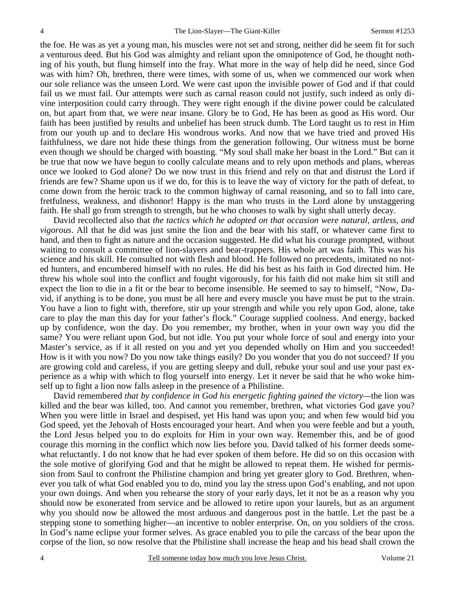the foe. He was as yet a young man, his muscles were not set and strong, neither did he seem fit for such a venturous deed. But his God was almighty and reliant upon the omnipotence of God, he thought nothing of his youth, but flung himself into the fray. What more in the way of help did he need, since God was with him? Oh, brethren, there were times, with some of us, when we commenced our work when our sole reliance was the unseen Lord. We were cast upon the invisible power of God and if that could fail us we must fail. Our attempts were such as carnal reason could not justify, such indeed as only divine interposition could carry through. They were right enough if the divine power could be calculated on, but apart from that, we were near insane. Glory be to God, He has been as good as His word. Our faith has been justified by results and unbelief has been struck dumb. The Lord taught us to rest in Him from our youth up and to declare His wondrous works. And now that we have tried and proved His faithfulness, we dare not hide these things from the generation following. Our witness must be borne even though we should be charged with boasting. "My soul shall make her boast in the Lord." But can it be true that now we have begun to coolly calculate means and to rely upon methods and plans, whereas once we looked to God alone? Do we now trust in this friend and rely on that and distrust the Lord if friends are few? Shame upon us if we do, for this is to leave the way of victory for the path of defeat, to come down from the heroic track to the common highway of carnal reasoning, and so to fall into care, fretfulness, weakness, and dishonor! Happy is the man who trusts in the Lord alone by unstaggering faith. He shall go from strength to strength, but he who chooses to walk by sight shall utterly decay.

 David recollected also that *the tactics which he adopted on that occasion were natural, artless, and vigorous*. All that he did was just smite the lion and the bear with his staff, or whatever came first to hand, and then to fight as nature and the occasion suggested. He did what his courage prompted, without waiting to consult a committee of lion-slayers and bear-trappers. His whole art was faith. This was his science and his skill. He consulted not with flesh and blood. He followed no precedents, imitated no noted hunters, and encumbered himself with no rules. He did his best as his faith in God directed him. He threw his whole soul into the conflict and fought vigorously, for his faith did not make him sit still and expect the lion to die in a fit or the bear to become insensible. He seemed to say to himself, "Now, David, if anything is to be done, you must be all here and every muscle you have must be put to the strain. You have a lion to fight with, therefore, stir up your strength and while you rely upon God, alone, take care to play the man this day for your father's flock." Courage supplied coolness. And energy, backed up by confidence, won the day. Do you remember, my brother, when in your own way you did the same? You were reliant upon God, but not idle. You put your whole force of soul and energy into your Master's service, as if it all rested on you and yet you depended wholly on Him and you succeeded! How is it with you now? Do you now take things easily? Do you wonder that you do not succeed? If you are growing cold and careless, if you are getting sleepy and dull, rebuke your soul and use your past experience as a whip with which to flog yourself into energy. Let it never be said that he who woke himself up to fight a lion now falls asleep in the presence of a Philistine.

 David remembered *that by confidence in God his energetic fighting gained the victory—*the lion was killed and the bear was killed, too. And cannot you remember, brethren, what victories God gave you? When you were little in Israel and despised, yet His hand was upon you; and when few would bid you God speed, yet the Jehovah of Hosts encouraged your heart. And when you were feeble and but a youth, the Lord Jesus helped you to do exploits for Him in your own way. Remember this, and be of good courage this morning in the conflict which now lies before you. David talked of his former deeds somewhat reluctantly. I do not know that he had ever spoken of them before. He did so on this occasion with the sole motive of glorifying God and that he might be allowed to repeat them. He wished for permission from Saul to confront the Philistine champion and bring yet greater glory to God. Brethren, whenever you talk of what God enabled you to do, mind you lay the stress upon God's enabling, and not upon your own doings. And when you rehearse the story of your early days, let it not be as a reason why you should now be exonerated from service and be allowed to retire upon your laurels, but as an argument why you should now be allowed the most arduous and dangerous post in the battle. Let the past be a stepping stone to something higher—an incentive to nobler enterprise. On, on you soldiers of the cross. In God's name eclipse your former selves. As grace enabled you to pile the carcass of the bear upon the corpse of the lion, so now resolve that the Philistine shall increase the heap and his head shall crown the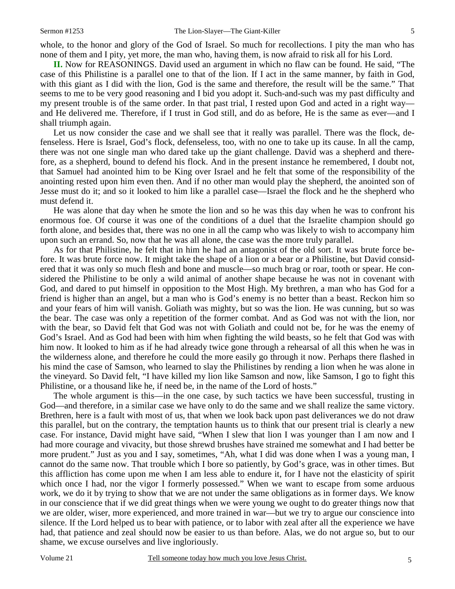whole, to the honor and glory of the God of Israel. So much for recollections. I pity the man who has none of them and I pity, yet more, the man who, having them, is now afraid to risk all for his Lord.

**II.** Now for REASONINGS. David used an argument in which no flaw can be found. He said, "The case of this Philistine is a parallel one to that of the lion. If I act in the same manner, by faith in God, with this giant as I did with the lion, God is the same and therefore, the result will be the same." That seems to me to be very good reasoning and I bid you adopt it. Such-and-such was my past difficulty and my present trouble is of the same order. In that past trial, I rested upon God and acted in a right way and He delivered me. Therefore, if I trust in God still, and do as before, He is the same as ever—and I shall triumph again.

Let us now consider the case and we shall see that it really was parallel. There was the flock, defenseless. Here is Israel, God's flock, defenseless, too, with no one to take up its cause. In all the camp, there was not one single man who dared take up the giant challenge. David was a shepherd and therefore, as a shepherd, bound to defend his flock. And in the present instance he remembered, I doubt not, that Samuel had anointed him to be King over Israel and he felt that some of the responsibility of the anointing rested upon him even then. And if no other man would play the shepherd, the anointed son of Jesse must do it; and so it looked to him like a parallel case—Israel the flock and he the shepherd who must defend it.

 He was alone that day when he smote the lion and so he was this day when he was to confront his enormous foe. Of course it was one of the conditions of a duel that the Israelite champion should go forth alone, and besides that, there was no one in all the camp who was likely to wish to accompany him upon such an errand. So, now that he was all alone, the case was the more truly parallel.

 As for that Philistine, he felt that in him he had an antagonist of the old sort. It was brute force before. It was brute force now. It might take the shape of a lion or a bear or a Philistine, but David considered that it was only so much flesh and bone and muscle—so much brag or roar, tooth or spear. He considered the Philistine to be only a wild animal of another shape because he was not in covenant with God, and dared to put himself in opposition to the Most High. My brethren, a man who has God for a friend is higher than an angel, but a man who is God's enemy is no better than a beast. Reckon him so and your fears of him will vanish. Goliath was mighty, but so was the lion. He was cunning, but so was the bear. The case was only a repetition of the former combat. And as God was not with the lion, nor with the bear, so David felt that God was not with Goliath and could not be, for he was the enemy of God's Israel. And as God had been with him when fighting the wild beasts, so he felt that God was with him now. It looked to him as if he had already twice gone through a rehearsal of all this when he was in the wilderness alone, and therefore he could the more easily go through it now. Perhaps there flashed in his mind the case of Samson, who learned to slay the Philistines by rending a lion when he was alone in the vineyard. So David felt, "I have killed my lion like Samson and now, like Samson, I go to fight this Philistine, or a thousand like he, if need be, in the name of the Lord of hosts."

 The whole argument is this—in the one case, by such tactics we have been successful, trusting in God—and therefore, in a similar case we have only to do the same and we shall realize the same victory. Brethren, here is a fault with most of us, that when we look back upon past deliverances we do not draw this parallel, but on the contrary, the temptation haunts us to think that our present trial is clearly a new case. For instance, David might have said, "When I slew that lion I was younger than I am now and I had more courage and vivacity, but those shrewd brushes have strained me somewhat and I had better be more prudent." Just as you and I say, sometimes, "Ah, what I did was done when I was a young man, I cannot do the same now. That trouble which I bore so patiently, by God's grace, was in other times. But this affliction has come upon me when I am less able to endure it, for I have not the elasticity of spirit which once I had, nor the vigor I formerly possessed." When we want to escape from some arduous work, we do it by trying to show that we are not under the same obligations as in former days. We know in our conscience that if we did great things when we were young we ought to do greater things now that we are older, wiser, more experienced, and more trained in war—but we try to argue our conscience into silence. If the Lord helped us to bear with patience, or to labor with zeal after all the experience we have had, that patience and zeal should now be easier to us than before. Alas, we do not argue so, but to our shame, we excuse ourselves and live ingloriously.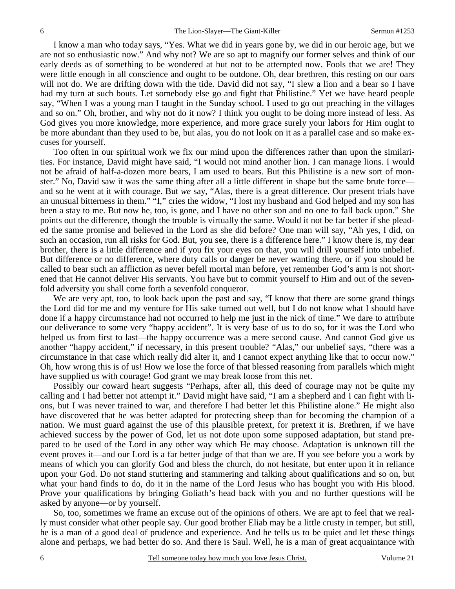I know a man who today says, "Yes. What we did in years gone by, we did in our heroic age, but we are not so enthusiastic now." And why not? We are so apt to magnify our former selves and think of our early deeds as of something to be wondered at but not to be attempted now. Fools that we are! They were little enough in all conscience and ought to be outdone. Oh, dear brethren, this resting on our oars will not do. We are drifting down with the tide. David did not say, "I slew a lion and a bear so I have had my turn at such bouts. Let somebody else go and fight that Philistine." Yet we have heard people say, "When I was a young man I taught in the Sunday school. I used to go out preaching in the villages and so on." Oh, brother, and why not do it now? I think you ought to be doing more instead of less. As God gives you more knowledge, more experience, and more grace surely your labors for Him ought to be more abundant than they used to be, but alas, you do not look on it as a parallel case and so make excuses for yourself.

 Too often in our spiritual work we fix our mind upon the differences rather than upon the similarities. For instance, David might have said, "I would not mind another lion. I can manage lions. I would not be afraid of half-a-dozen more bears, I am used to bears. But this Philistine is a new sort of monster." No, David saw it was the same thing after all a little different in shape but the same brute force and so he went at it with courage. But *we* say, "Alas, there is a great difference. Our present trials have an unusual bitterness in them." "I," cries the widow, "I lost my husband and God helped and my son has been a stay to me. But now he*,* too, is gone, and I have no other son and no one to fall back upon." She points out the difference, though the trouble is virtually the same. Would it not be far better if she pleaded the same promise and believed in the Lord as she did before? One man will say, "Ah yes, I did, on such an occasion, run all risks for God. But, you see, there is a difference here." I know there is, my dear brother, there is a little difference and if you fix your eyes on that, you will drill yourself into unbelief. But difference or no difference, where duty calls or danger be never wanting there, or if you should be called to bear such an affliction as never befell mortal man before, yet remember God's arm is not shortened that He cannot deliver His servants. You have but to commit yourself to Him and out of the sevenfold adversity you shall come forth a sevenfold conqueror.

We are very apt, too, to look back upon the past and say, "I know that there are some grand things the Lord did for me and my venture for His sake turned out well, but I do not know what I should have done if a happy circumstance had not occurred to help me just in the nick of time." We dare to attribute our deliverance to some very "happy accident". It is very base of us to do so, for it was the Lord who helped us from first to last—the happy occurrence was a mere second cause. And cannot God give us another "happy accident," if necessary, in this present trouble? "Alas," our unbelief says, "there was a circumstance in that case which really did alter it, and I cannot expect anything like that to occur now." Oh, how wrong this is of us! How we lose the force of that blessed reasoning from parallels which might have supplied us with courage! God grant we may break loose from this net.

 Possibly our coward heart suggests "Perhaps, after all, this deed of courage may not be quite my calling and I had better not attempt it." David might have said, "I am a shepherd and I can fight with lions, but I was never trained to war, and therefore I had better let this Philistine alone." He might also have discovered that he was better adapted for protecting sheep than for becoming the champion of a nation. We must guard against the use of this plausible pretext, for pretext it is. Brethren, if we have achieved success by the power of God, let us not dote upon some supposed adaptation, but stand prepared to be used of the Lord in any other way which He may choose. Adaptation is unknown till the event proves it—and our Lord is a far better judge of that than we are. If you see before you a work by means of which you can glorify God and bless the church, do not hesitate, but enter upon it in reliance upon your God. Do not stand stuttering and stammering and talking about qualifications and so on, but what your hand finds to do, do it in the name of the Lord Jesus who has bought you with His blood. Prove your qualifications by bringing Goliath's head back with you and no further questions will be asked by anyone—or by yourself.

 So, too, sometimes we frame an excuse out of the opinions of others. We are apt to feel that we really must consider what other people say. Our good brother Eliab may be a little crusty in temper, but still, he is a man of a good deal of prudence and experience. And he tells us to be quiet and let these things alone and perhaps, we had better do so. And there is Saul. Well, he is a man of great acquaintance with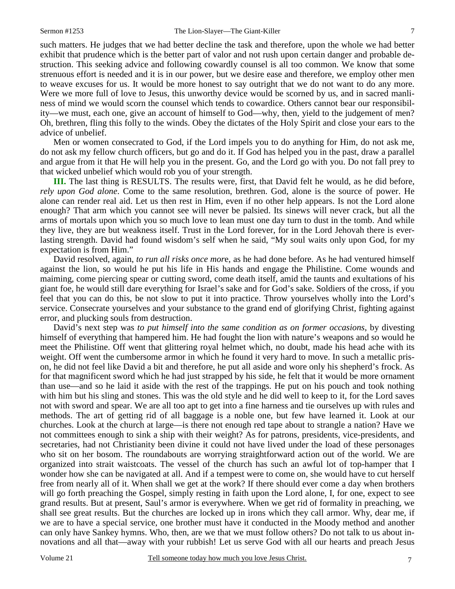such matters. He judges that we had better decline the task and therefore, upon the whole we had better exhibit that prudence which is the better part of valor and not rush upon certain danger and probable destruction. This seeking advice and following cowardly counsel is all too common. We know that some strenuous effort is needed and it is in our power, but we desire ease and therefore, we employ other men to weave excuses for us. It would be more honest to say outright that we do not want to do any more. Were we more full of love to Jesus, this unworthy device would be scorned by us, and in sacred manliness of mind we would scorn the counsel which tends to cowardice. Others cannot bear our responsibility—we must, each one, give an account of himself to God—why, then, yield to the judgement of men? Oh, brethren, fling this folly to the winds. Obey the dictates of the Holy Spirit and close your ears to the advice of unbelief.

 Men or women consecrated to God, if the Lord impels you to do anything for Him, do not ask me, do not ask my fellow church officers, but go and do it. If God has helped you in the past, draw a parallel and argue from it that He will help you in the present. Go, and the Lord go with you. Do not fall prey to that wicked unbelief which would rob you of your strength.

**III.** The last thing is RESULTS. The results were, first, that David felt he would, as he did before, *rely upon God alone*. Come to the same resolution, brethren. God, alone is the source of power. He alone can render real aid. Let us then rest in Him, even if no other help appears. Is not the Lord alone enough? That arm which you cannot see will never be palsied. Its sinews will never crack, but all the arms of mortals upon which you so much love to lean must one day turn to dust in the tomb. And while they live, they are but weakness itself. Trust in the Lord forever, for in the Lord Jehovah there is everlasting strength. David had found wisdom's self when he said, "My soul waits only upon God, for my expectation is from Him."

 David resolved, again, *to run all risks once mor*e, as he had done before. As he had ventured himself against the lion, so would he put his life in His hands and engage the Philistine. Come wounds and maiming, come piercing spear or cutting sword, come death itself, amid the taunts and exultations of his giant foe, he would still dare everything for Israel's sake and for God's sake. Soldiers of the cross, if you feel that you can do this, be not slow to put it into practice. Throw yourselves wholly into the Lord's service. Consecrate yourselves and your substance to the grand end of glorifying Christ, fighting against error, and plucking souls from destruction.

 David's next step was *to put himself into the same condition as on former occasions*, by divesting himself of everything that hampered him. He had fought the lion with nature's weapons and so would he meet the Philistine. Off went that glittering royal helmet which, no doubt, made his head ache with its weight. Off went the cumbersome armor in which he found it very hard to move. In such a metallic prison, he did not feel like David a bit and therefore, he put all aside and wore only his shepherd's frock. As for that magnificent sword which he had just strapped by his side, he felt that it would be more ornament than use—and so he laid it aside with the rest of the trappings. He put on his pouch and took nothing with him but his sling and stones. This was the old style and he did well to keep to it, for the Lord saves not with sword and spear. We are all too apt to get into a fine harness and tie ourselves up with rules and methods. The art of getting rid of all baggage is a noble one, but few have learned it. Look at our churches. Look at the church at large—is there not enough red tape about to strangle a nation? Have we not committees enough to sink a ship with their weight? As for patrons, presidents, vice-presidents, and secretaries, had not Christianity been divine it could not have lived under the load of these personages who sit on her bosom. The roundabouts are worrying straightforward action out of the world. We are organized into strait waistcoats. The vessel of the church has such an awful lot of top-hamper that I wonder how she can be navigated at all. And if a tempest were to come on, she would have to cut herself free from nearly all of it. When shall we get at the work? If there should ever come a day when brothers will go forth preaching the Gospel, simply resting in faith upon the Lord alone, I, for one, expect to see grand results. But at present, Saul's armor is everywhere. When we get rid of formality in preaching, we shall see great results. But the churches are locked up in irons which they call armor. Why, dear me, if we are to have a special service, one brother must have it conducted in the Moody method and another can only have Sankey hymns. Who, then, are we that we must follow others? Do not talk to us about innovations and all that—away with your rubbish! Let us serve God with all our hearts and preach Jesus